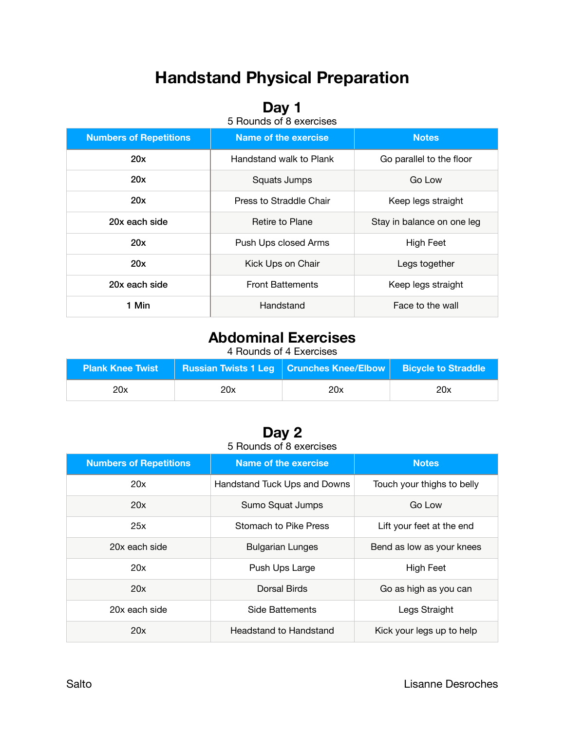# **Handstand Physical Preparation**

### **Day 1**

5 Rounds of 8 exercises

| <b>Numbers of Repetitions</b> | Name of the exercise          | <b>Notes</b>               |  |
|-------------------------------|-------------------------------|----------------------------|--|
| 20x                           | Handstand walk to Plank       | Go parallel to the floor   |  |
| 20x                           | Squats Jumps                  | Go Low                     |  |
| 20x                           | Press to Straddle Chair       | Keep legs straight         |  |
| 20x each side                 | Retire to Plane               | Stay in balance on one leg |  |
| 20x                           | Push Ups closed Arms          | High Feet                  |  |
| 20x                           | Kick Ups on Chair             | Legs together              |  |
| 20x each side                 | <b>Front Battements</b>       | Keep legs straight         |  |
| 1 Min                         | Handstand<br>Face to the wall |                            |  |

### **Abdominal Exercises**

4 Rounds of 4 Exercises

| <b>Plank Knee Twist</b> |     | ■ Russian Twists 1 Leg   Crunches Knee/Elbow   Bicycle to Straddle |     |
|-------------------------|-----|--------------------------------------------------------------------|-----|
| 20x                     | 20x | 20x                                                                | 20x |

#### **Day 2**  5 Rounds of 8 exercises

| <b>Numbers of Repetitions</b> | <b>Name of the exercise</b>      | <b>Notes</b>               |
|-------------------------------|----------------------------------|----------------------------|
| 20x                           | Handstand Tuck Ups and Downs     | Touch your thighs to belly |
| 20x                           | Sumo Squat Jumps                 | Go Low                     |
| 25x                           | Stomach to Pike Press            | Lift your feet at the end  |
| 20x each side                 | <b>Bulgarian Lunges</b>          | Bend as low as your knees  |
| 20x                           | Push Ups Large                   | High Feet                  |
| 20x                           | Dorsal Birds                     | Go as high as you can      |
| 20x each side                 | Side Battements<br>Legs Straight |                            |
| 20x                           | <b>Headstand to Handstand</b>    | Kick your legs up to help  |